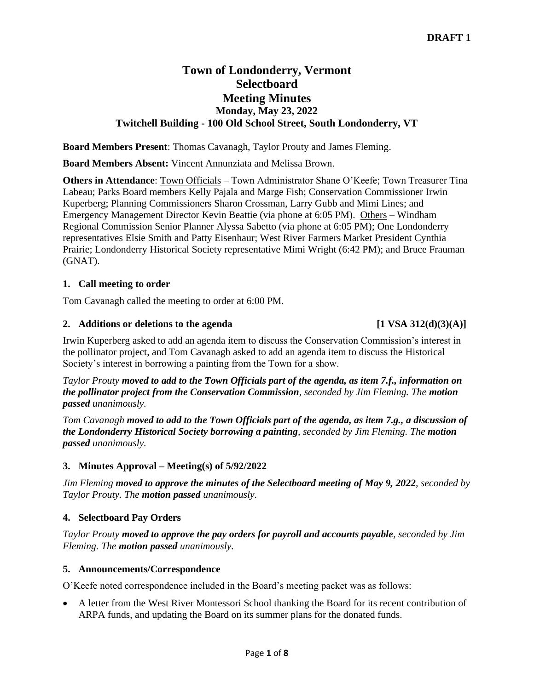# **Town of Londonderry, Vermont Selectboard Meeting Minutes Monday, May 23, 2022 Twitchell Building - 100 Old School Street, South Londonderry, VT**

**Board Members Present**: Thomas Cavanagh, Taylor Prouty and James Fleming.

**Board Members Absent:** Vincent Annunziata and Melissa Brown.

**Others in Attendance**: Town Officials – Town Administrator Shane O'Keefe; Town Treasurer Tina Labeau; Parks Board members Kelly Pajala and Marge Fish; Conservation Commissioner Irwin Kuperberg; Planning Commissioners Sharon Crossman, Larry Gubb and Mimi Lines; and Emergency Management Director Kevin Beattie (via phone at 6:05 PM). Others – Windham Regional Commission Senior Planner Alyssa Sabetto (via phone at 6:05 PM); One Londonderry representatives Elsie Smith and Patty Eisenhaur; West River Farmers Market President Cynthia Prairie; Londonderry Historical Society representative Mimi Wright (6:42 PM); and Bruce Frauman (GNAT).

## **1. Call meeting to order**

Tom Cavanagh called the meeting to order at 6:00 PM.

## **2.** Additions or deletions to the agenda  $[1 \text{ VSA } 312(\text{d})(3)(\text{A})]$

Irwin Kuperberg asked to add an agenda item to discuss the Conservation Commission's interest in the pollinator project, and Tom Cavanagh asked to add an agenda item to discuss the Historical Society's interest in borrowing a painting from the Town for a show.

*Taylor Prouty moved to add to the Town Officials part of the agenda, as item 7.f., information on the pollinator project from the Conservation Commission, seconded by Jim Fleming. The motion passed unanimously.*

*Tom Cavanagh moved to add to the Town Officials part of the agenda, as item 7.g., a discussion of the Londonderry Historical Society borrowing a painting, seconded by Jim Fleming. The motion passed unanimously.*

## **3. Minutes Approval – Meeting(s) of 5/92/2022**

*Jim Fleming moved to approve the minutes of the Selectboard meeting of May 9, 2022, seconded by Taylor Prouty. The motion passed unanimously.*

## **4. Selectboard Pay Orders**

*Taylor Prouty moved to approve the pay orders for payroll and accounts payable, seconded by Jim Fleming. The motion passed unanimously.*

## **5. Announcements/Correspondence**

O'Keefe noted correspondence included in the Board's meeting packet was as follows:

• A letter from the West River Montessori School thanking the Board for its recent contribution of ARPA funds, and updating the Board on its summer plans for the donated funds.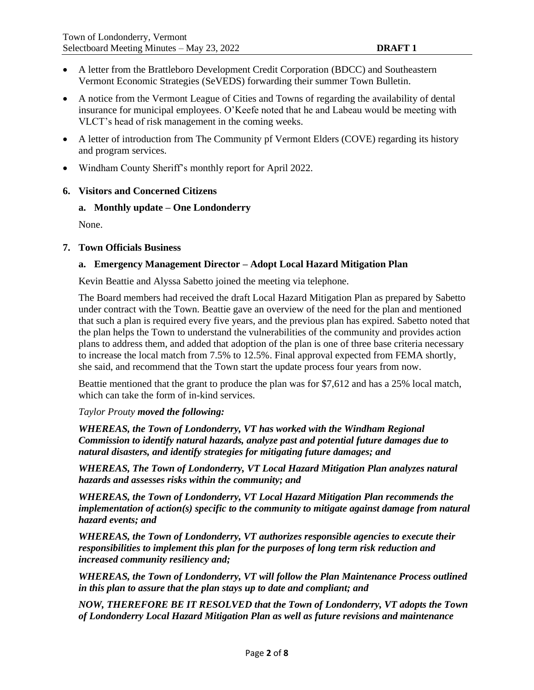- A letter from the Brattleboro Development Credit Corporation (BDCC) and Southeastern Vermont Economic Strategies (SeVEDS) forwarding their summer Town Bulletin.
- A notice from the Vermont League of Cities and Towns of regarding the availability of dental insurance for municipal employees. O'Keefe noted that he and Labeau would be meeting with VLCT's head of risk management in the coming weeks.
- A letter of introduction from The Community pf Vermont Elders (COVE) regarding its history and program services.
- Windham County Sheriff's monthly report for April 2022.

#### **6. Visitors and Concerned Citizens**

#### **a. Monthly update – One Londonderry**

None.

#### **7. Town Officials Business**

#### **a. Emergency Management Director – Adopt Local Hazard Mitigation Plan**

Kevin Beattie and Alyssa Sabetto joined the meeting via telephone.

The Board members had received the draft Local Hazard Mitigation Plan as prepared by Sabetto under contract with the Town. Beattie gave an overview of the need for the plan and mentioned that such a plan is required every five years, and the previous plan has expired. Sabetto noted that the plan helps the Town to understand the vulnerabilities of the community and provides action plans to address them, and added that adoption of the plan is one of three base criteria necessary to increase the local match from 7.5% to 12.5%. Final approval expected from FEMA shortly, she said, and recommend that the Town start the update process four years from now.

Beattie mentioned that the grant to produce the plan was for \$7,612 and has a 25% local match, which can take the form of in-kind services.

#### *Taylor Prouty moved the following:*

*WHEREAS, the Town of Londonderry, VT has worked with the Windham Regional Commission to identify natural hazards, analyze past and potential future damages due to natural disasters, and identify strategies for mitigating future damages; and* 

*WHEREAS, The Town of Londonderry, VT Local Hazard Mitigation Plan analyzes natural hazards and assesses risks within the community; and* 

*WHEREAS, the Town of Londonderry, VT Local Hazard Mitigation Plan recommends the implementation of action(s) specific to the community to mitigate against damage from natural hazard events; and* 

*WHEREAS, the Town of Londonderry, VT authorizes responsible agencies to execute their responsibilities to implement this plan for the purposes of long term risk reduction and increased community resiliency and;* 

*WHEREAS, the Town of Londonderry, VT will follow the Plan Maintenance Process outlined in this plan to assure that the plan stays up to date and compliant; and* 

*NOW, THEREFORE BE IT RESOLVED that the Town of Londonderry, VT adopts the Town of Londonderry Local Hazard Mitigation Plan as well as future revisions and maintenance*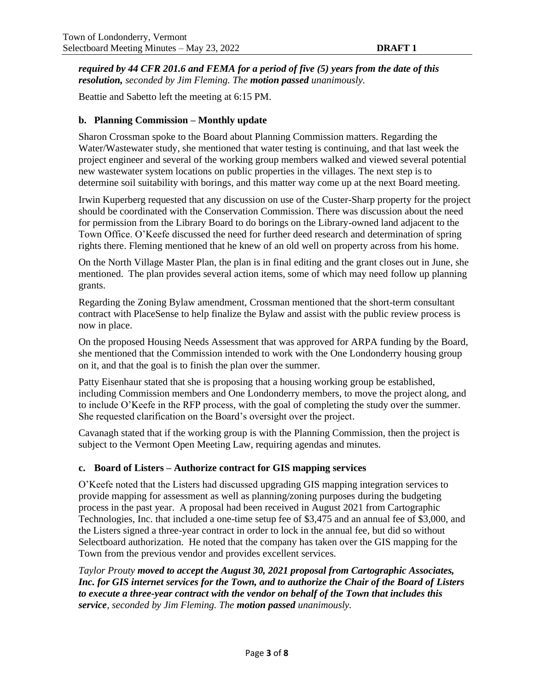*required by 44 CFR 201.6 and FEMA for a period of five (5) years from the date of this resolution, seconded by Jim Fleming. The motion passed unanimously.*

Beattie and Sabetto left the meeting at 6:15 PM.

### **b. Planning Commission – Monthly update**

Sharon Crossman spoke to the Board about Planning Commission matters. Regarding the Water/Wastewater study, she mentioned that water testing is continuing, and that last week the project engineer and several of the working group members walked and viewed several potential new wastewater system locations on public properties in the villages. The next step is to determine soil suitability with borings, and this matter way come up at the next Board meeting.

Irwin Kuperberg requested that any discussion on use of the Custer-Sharp property for the project should be coordinated with the Conservation Commission. There was discussion about the need for permission from the Library Board to do borings on the Library-owned land adjacent to the Town Office. O'Keefe discussed the need for further deed research and determination of spring rights there. Fleming mentioned that he knew of an old well on property across from his home.

On the North Village Master Plan, the plan is in final editing and the grant closes out in June, she mentioned. The plan provides several action items, some of which may need follow up planning grants.

Regarding the Zoning Bylaw amendment, Crossman mentioned that the short-term consultant contract with PlaceSense to help finalize the Bylaw and assist with the public review process is now in place.

On the proposed Housing Needs Assessment that was approved for ARPA funding by the Board, she mentioned that the Commission intended to work with the One Londonderry housing group on it, and that the goal is to finish the plan over the summer.

Patty Eisenhaur stated that she is proposing that a housing working group be established, including Commission members and One Londonderry members, to move the project along, and to include O'Keefe in the RFP process, with the goal of completing the study over the summer. She requested clarification on the Board's oversight over the project.

Cavanagh stated that if the working group is with the Planning Commission, then the project is subject to the Vermont Open Meeting Law, requiring agendas and minutes.

#### **c. Board of Listers – Authorize contract for GIS mapping services**

O'Keefe noted that the Listers had discussed upgrading GIS mapping integration services to provide mapping for assessment as well as planning/zoning purposes during the budgeting process in the past year. A proposal had been received in August 2021 from Cartographic Technologies, Inc. that included a one-time setup fee of \$3,475 and an annual fee of \$3,000, and the Listers signed a three-year contract in order to lock in the annual fee, but did so without Selectboard authorization. He noted that the company has taken over the GIS mapping for the Town from the previous vendor and provides excellent services.

*Taylor Prouty moved to accept the August 30, 2021 proposal from Cartographic Associates, Inc. for GIS internet services for the Town, and to authorize the Chair of the Board of Listers to execute a three-year contract with the vendor on behalf of the Town that includes this service, seconded by Jim Fleming. The motion passed unanimously.*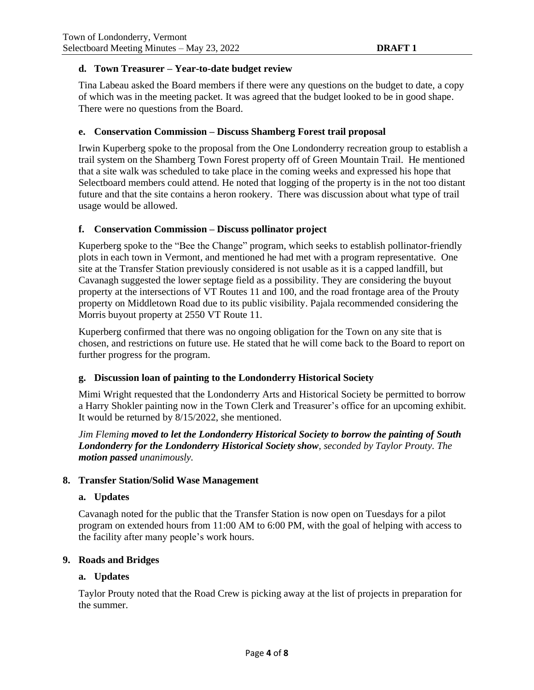#### **d. Town Treasurer – Year-to-date budget review**

Tina Labeau asked the Board members if there were any questions on the budget to date, a copy of which was in the meeting packet. It was agreed that the budget looked to be in good shape. There were no questions from the Board.

#### **e. Conservation Commission – Discuss Shamberg Forest trail proposal**

Irwin Kuperberg spoke to the proposal from the One Londonderry recreation group to establish a trail system on the Shamberg Town Forest property off of Green Mountain Trail. He mentioned that a site walk was scheduled to take place in the coming weeks and expressed his hope that Selectboard members could attend. He noted that logging of the property is in the not too distant future and that the site contains a heron rookery. There was discussion about what type of trail usage would be allowed.

#### **f. Conservation Commission – Discuss pollinator project**

Kuperberg spoke to the "Bee the Change" program, which seeks to establish pollinator-friendly plots in each town in Vermont, and mentioned he had met with a program representative. One site at the Transfer Station previously considered is not usable as it is a capped landfill, but Cavanagh suggested the lower septage field as a possibility. They are considering the buyout property at the intersections of VT Routes 11 and 100, and the road frontage area of the Prouty property on Middletown Road due to its public visibility. Pajala recommended considering the Morris buyout property at 2550 VT Route 11.

Kuperberg confirmed that there was no ongoing obligation for the Town on any site that is chosen, and restrictions on future use. He stated that he will come back to the Board to report on further progress for the program.

## **g. Discussion loan of painting to the Londonderry Historical Society**

Mimi Wright requested that the Londonderry Arts and Historical Society be permitted to borrow a Harry Shokler painting now in the Town Clerk and Treasurer's office for an upcoming exhibit. It would be returned by 8/15/2022, she mentioned.

*Jim Fleming moved to let the Londonderry Historical Society to borrow the painting of South Londonderry for the Londonderry Historical Society show, seconded by Taylor Prouty. The motion passed unanimously.*

#### **8. Transfer Station/Solid Wase Management**

#### **a. Updates**

Cavanagh noted for the public that the Transfer Station is now open on Tuesdays for a pilot program on extended hours from 11:00 AM to 6:00 PM, with the goal of helping with access to the facility after many people's work hours.

#### **9. Roads and Bridges**

#### **a. Updates**

Taylor Prouty noted that the Road Crew is picking away at the list of projects in preparation for the summer.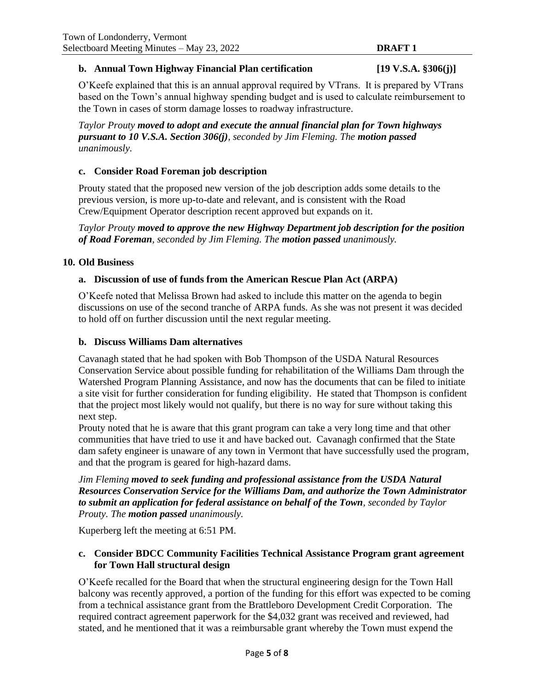### **b. Annual Town Highway Financial Plan certification [19 V.S.A. §306(j)]**

O'Keefe explained that this is an annual approval required by VTrans. It is prepared by VTrans based on the Town's annual highway spending budget and is used to calculate reimbursement to the Town in cases of storm damage losses to roadway infrastructure.

*Taylor Prouty moved to adopt and execute the annual financial plan for Town highways pursuant to 10 V.S.A. Section 306(j), seconded by Jim Fleming. The motion passed unanimously.*

#### **c. Consider Road Foreman job description**

Prouty stated that the proposed new version of the job description adds some details to the previous version, is more up-to-date and relevant, and is consistent with the Road Crew/Equipment Operator description recent approved but expands on it.

*Taylor Prouty moved to approve the new Highway Department job description for the position of Road Foreman, seconded by Jim Fleming. The motion passed unanimously.*

#### **10. Old Business**

#### **a. Discussion of use of funds from the American Rescue Plan Act (ARPA)**

O'Keefe noted that Melissa Brown had asked to include this matter on the agenda to begin discussions on use of the second tranche of ARPA funds. As she was not present it was decided to hold off on further discussion until the next regular meeting.

#### **b. Discuss Williams Dam alternatives**

Cavanagh stated that he had spoken with Bob Thompson of the USDA Natural Resources Conservation Service about possible funding for rehabilitation of the Williams Dam through the Watershed Program Planning Assistance, and now has the documents that can be filed to initiate a site visit for further consideration for funding eligibility. He stated that Thompson is confident that the project most likely would not qualify, but there is no way for sure without taking this next step.

Prouty noted that he is aware that this grant program can take a very long time and that other communities that have tried to use it and have backed out. Cavanagh confirmed that the State dam safety engineer is unaware of any town in Vermont that have successfully used the program, and that the program is geared for high-hazard dams.

*Jim Fleming moved to seek funding and professional assistance from the USDA Natural Resources Conservation Service for the Williams Dam, and authorize the Town Administrator to submit an application for federal assistance on behalf of the Town, seconded by Taylor Prouty. The motion passed unanimously.*

Kuperberg left the meeting at 6:51 PM.

## **c. Consider BDCC Community Facilities Technical Assistance Program grant agreement for Town Hall structural design**

O'Keefe recalled for the Board that when the structural engineering design for the Town Hall balcony was recently approved, a portion of the funding for this effort was expected to be coming from a technical assistance grant from the Brattleboro Development Credit Corporation. The required contract agreement paperwork for the \$4,032 grant was received and reviewed, had stated, and he mentioned that it was a reimbursable grant whereby the Town must expend the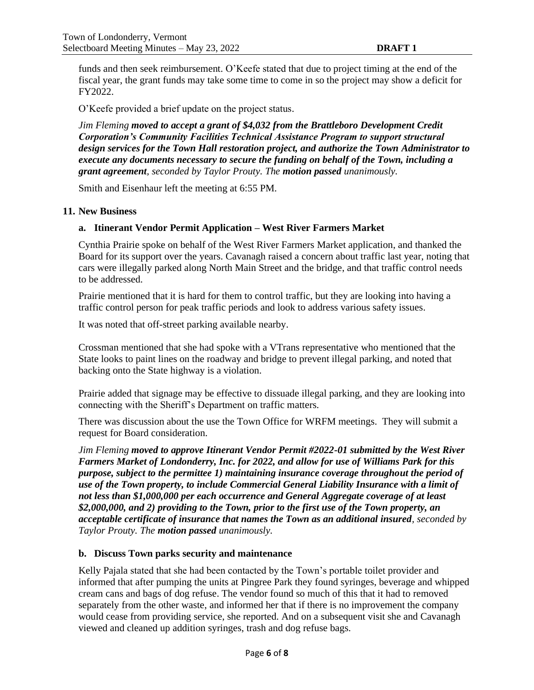funds and then seek reimbursement. O'Keefe stated that due to project timing at the end of the fiscal year, the grant funds may take some time to come in so the project may show a deficit for FY2022.

O'Keefe provided a brief update on the project status.

*Jim Fleming moved to accept a grant of \$4,032 from the Brattleboro Development Credit Corporation's Community Facilities Technical Assistance Program to support structural design services for the Town Hall restoration project, and authorize the Town Administrator to execute any documents necessary to secure the funding on behalf of the Town, including a grant agreement, seconded by Taylor Prouty. The motion passed unanimously.*

Smith and Eisenhaur left the meeting at 6:55 PM.

#### **11. New Business**

## **a. Itinerant Vendor Permit Application – West River Farmers Market**

Cynthia Prairie spoke on behalf of the West River Farmers Market application, and thanked the Board for its support over the years. Cavanagh raised a concern about traffic last year, noting that cars were illegally parked along North Main Street and the bridge, and that traffic control needs to be addressed.

Prairie mentioned that it is hard for them to control traffic, but they are looking into having a traffic control person for peak traffic periods and look to address various safety issues.

It was noted that off-street parking available nearby.

Crossman mentioned that she had spoke with a VTrans representative who mentioned that the State looks to paint lines on the roadway and bridge to prevent illegal parking, and noted that backing onto the State highway is a violation.

Prairie added that signage may be effective to dissuade illegal parking, and they are looking into connecting with the Sheriff's Department on traffic matters.

There was discussion about the use the Town Office for WRFM meetings. They will submit a request for Board consideration.

*Jim Fleming moved to approve Itinerant Vendor Permit #2022-01 submitted by the West River Farmers Market of Londonderry, Inc. for 2022, and allow for use of Williams Park for this purpose, subject to the permittee 1) maintaining insurance coverage throughout the period of use of the Town property, to include Commercial General Liability Insurance with a limit of not less than \$1,000,000 per each occurrence and General Aggregate coverage of at least \$2,000,000, and 2) providing to the Town, prior to the first use of the Town property, an acceptable certificate of insurance that names the Town as an additional insured, seconded by Taylor Prouty. The motion passed unanimously.*

## **b. Discuss Town parks security and maintenance**

Kelly Pajala stated that she had been contacted by the Town's portable toilet provider and informed that after pumping the units at Pingree Park they found syringes, beverage and whipped cream cans and bags of dog refuse. The vendor found so much of this that it had to removed separately from the other waste, and informed her that if there is no improvement the company would cease from providing service, she reported. And on a subsequent visit she and Cavanagh viewed and cleaned up addition syringes, trash and dog refuse bags.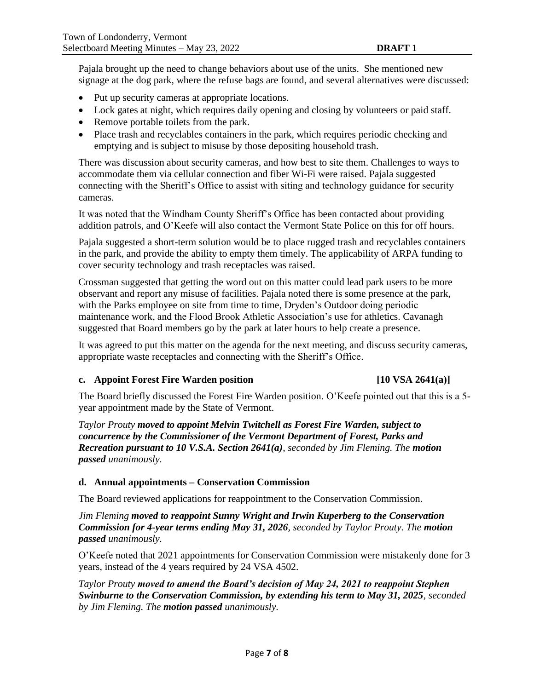Pajala brought up the need to change behaviors about use of the units. She mentioned new signage at the dog park, where the refuse bags are found, and several alternatives were discussed:

- Put up security cameras at appropriate locations.
- Lock gates at night, which requires daily opening and closing by volunteers or paid staff.
- Remove portable toilets from the park.
- Place trash and recyclables containers in the park, which requires periodic checking and emptying and is subject to misuse by those depositing household trash.

There was discussion about security cameras, and how best to site them. Challenges to ways to accommodate them via cellular connection and fiber Wi-Fi were raised. Pajala suggested connecting with the Sheriff's Office to assist with siting and technology guidance for security cameras.

It was noted that the Windham County Sheriff's Office has been contacted about providing addition patrols, and O'Keefe will also contact the Vermont State Police on this for off hours.

Pajala suggested a short-term solution would be to place rugged trash and recyclables containers in the park, and provide the ability to empty them timely. The applicability of ARPA funding to cover security technology and trash receptacles was raised.

Crossman suggested that getting the word out on this matter could lead park users to be more observant and report any misuse of facilities. Pajala noted there is some presence at the park, with the Parks employee on site from time to time, Dryden's Outdoor doing periodic maintenance work, and the Flood Brook Athletic Association's use for athletics. Cavanagh suggested that Board members go by the park at later hours to help create a presence.

It was agreed to put this matter on the agenda for the next meeting, and discuss security cameras, appropriate waste receptacles and connecting with the Sheriff's Office.

#### **c. Appoint Forest Fire Warden position [10 VSA 2641(a)]**

The Board briefly discussed the Forest Fire Warden position. O'Keefe pointed out that this is a 5 year appointment made by the State of Vermont.

*Taylor Prouty moved to appoint Melvin Twitchell as Forest Fire Warden, subject to concurrence by the Commissioner of the Vermont Department of Forest, Parks and Recreation pursuant to 10 V.S.A. Section 2641(a), seconded by Jim Fleming. The motion passed unanimously.*

## **d. Annual appointments – Conservation Commission**

The Board reviewed applications for reappointment to the Conservation Commission.

*Jim Fleming moved to reappoint Sunny Wright and Irwin Kuperberg to the Conservation Commission for 4-year terms ending May 31, 2026, seconded by Taylor Prouty. The motion passed unanimously.*

O'Keefe noted that 2021 appointments for Conservation Commission were mistakenly done for 3 years, instead of the 4 years required by 24 VSA 4502.

*Taylor Prouty moved to amend the Board's decision of May 24, 2021 to reappoint Stephen Swinburne to the Conservation Commission, by extending his term to May 31, 2025, seconded by Jim Fleming. The motion passed unanimously.*